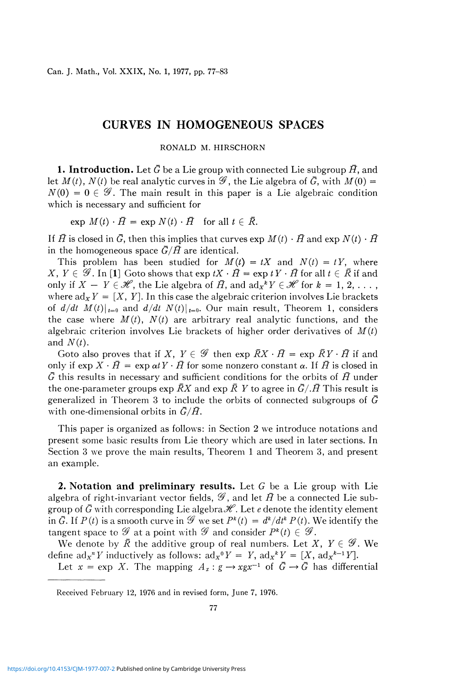## CURVES IN HOMOGENEOUS SPACES

## RONALD M. HIRSCHORN

**1. Introduction.** Let  $\bar{G}$  be a Lie group with connected Lie subgroup  $\bar{H}$ , and let  $M(t)$ ,  $N(t)$  be real analytic curves in  $\mathscr{G}$ , the Lie algebra of  $\bar{G}$ , with  $M(0)$  =  $N(0) = 0 \in \mathscr{G}$ . The main result in this paper is a Lie algebraic condition which is necessary and sufficient for

 $\exp M(t) \cdot \overline{H} = \exp N(t) \cdot \overline{H}$  for all  $t \in \overline{R}$ .

If  $\bar{H}$  is closed in  $\bar{G}$ , then this implies that curves exp  $M(t) \cdot \bar{H}$  and exp  $N(t) \cdot \bar{H}$ in the homogeneous space  $\bar{G}/\bar{H}$  are identical.

This problem has been studied for  $M(t) = tX$  and  $N(t) = tY$ , where  $X, Y \in \mathscr{G}$ . In [1] Goto shows that  $\exp tX \cdot \bar{H} = \exp tY \cdot \bar{H}$  for all  $t \in \bar{R}$  if and only if  $X - Y \in \mathcal{H}$ , the Lie algebra of  $\overline{H}$ , and  $ad_{X} {}^{k}Y \in \mathcal{H}$  for  $k = 1, 2, \ldots$ , where  $ad_X Y = [X, Y]$ . In this case the algebraic criterion involves Lie brackets of  $d/dt$   $M(t)|_{t=0}$  and  $d/dt$   $N(t)|_{t=0}$ . Our main result, Theorem 1, considers the case where  $M(t)$ ,  $N(t)$  are arbitrary real analytic functions, and the algebraic criterion involves Lie brackets of higher order derivatives of *M(t)*  and  $N(t)$ .

Goto also proves that if X,  $Y \in \mathscr{G}$  then exp  $\overline{R}X \cdot \overline{H} = \exp \overline{R}Y \cdot \overline{H}$  if and only if  $\exp X \cdot \overline{H} = \exp \alpha t Y \cdot \overline{H}$  for some nonzero constant  $\alpha$ . If  $\overline{H}$  is closed in *G* this results in necessary and sufficient conditions for the orbits of *H* under the one-parameter groups exp  $\bar{R}X$  and exp  $\bar{R}Y$  to agree in  $\bar{G}/\bar{H}$  This result is generalized in Theorem 3 to include the orbits of connected subgroups of *G*  with one-dimensional orbits in *G/H.* 

This paper is organized as follows: in Section 2 we introduce notations and present some basic results from Lie theory which are used in later sections. In Section 3 we prove the main results, Theorem 1 and Theorem 3, and present an example.

**2. Notation and preliminary results.** Let G be a Lie group with Lie algebra of right-invariant vector fields,  $\mathscr{G}$ , and let  $\bar{H}$  be a connected Lie subgroup of  $\bar{G}$  with corresponding Lie algebra  $\mathscr{H}$ . Let *e* denote the identity element in  $\bar{G}$ . If  $P(t)$  is a smooth curve in  $\mathscr{G}$  we set  $P^k(t) = d^k/dt^k P(t)$ . We identify the tangent space to  $\mathscr G$  at a point with  $\mathscr G$  and consider  $P^k(t) \in \mathscr G$ .

We denote by  $\overline{R}$  the additive group of real numbers. Let X,  $Y \in \mathscr{G}$ . We define  $\text{ad}_X^N Y$  inductively as follows:  $\text{ad}_X^N Y = Y$ ,  $\text{ad}_X^N Y = [X, \text{ad}_X^{N-1} Y]$ .

Let  $x = \exp X$ . The mapping  $A_x : g \to xgx^{-1}$  of  $\bar{G} \to \bar{G}$  has differential

Received February 12, 1976 and in revised form, June 7, 1976.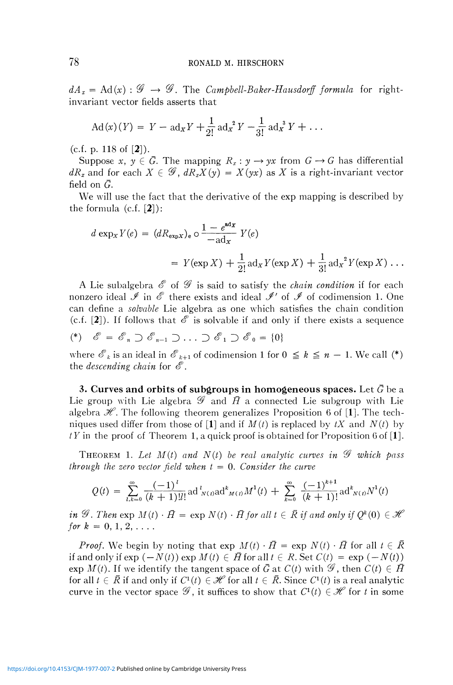$dA_x = \text{Ad}(x)$ :  $\mathscr{G} \rightarrow \mathscr{G}$ . The *Campbell-Baker-Hausdorff formula* for rightinvariant vector fields asserts that

$$
Ad(x)(Y) = Y - ad_x Y + \frac{1}{2!} ad_x^2 Y - \frac{1}{3!} ad_x^3 Y + \dots
$$

(c.f. p. 118 of  $[2]$ ).

Suppose  $x, y \in \overline{G}$ . The mapping  $R_x: y \to yx$  from  $G \to G$  has differential  $dR_x$  and for each  $X \in \mathscr{G}$ ,  $dR_xX(y) = X(yx)$  as X is a right-invariant vector field on  $\bar{G}$ .

We will use the fact that the derivative of the exp mapping is described by the formula  $(c.f. [2])$ :

$$
d \exp_X Y(e) = (dR_{\exp X})_e \circ \frac{1 - e^{\text{ad}_X}}{-\text{ad}_X} Y(e)
$$
  
=  $Y(\exp X) + \frac{1}{2!} \text{ad}_X Y(\exp X) + \frac{1}{3!} \text{ad}_X^2 Y(\exp X) \dots$ 

A Lie subalgebra *S* of *&* is said to satisfy the *chain condition* if for each nonzero ideal  $\mathscr I$  in  $\mathscr E$  there exists and ideal  $\mathscr I'$  of  $\mathscr I$  of codimension 1. One can define a *solvable* Lie algebra as one which satisfies the chain condition (c.f.  $[2]$ ). If follows that  $\mathscr E$  is solvable if and only if there exists a sequence

$$
(*) \quad \mathscr{E} = \mathscr{E}_n \supset \mathscr{E}_{n-1} \supset \ldots \supset \mathscr{E}_1 \supset \mathscr{E}_0 = \{0\}
$$

where  $\mathscr{E}_k$  is an ideal in  $\mathscr{E}_{k+1}$  of codimension 1 for  $0 \leq k \leq n-1$ . We call (\*) the *descending chain* for  $\mathscr E$ .

**3. Curves and orbits of subgroups in homogeneous spaces.** Let  $\bar{G}$  be a Lie group with Lie algebra  $\mathscr G$  and  $\bar{H}$  a connected Lie subgroup with Lie algebra  $\mathscr{H}$ . The following theorem generalizes Proposition 6 of [1]. The techniques used differ from those of  $[1]$  and if  $M(t)$  is replaced by  $tX$  and  $N(t)$  by  $tY$  in the proof of Theorem 1, a quick proof is obtained for Proposition 6 of [1].

THEOREM 1. Let  $M(t)$  and  $N(t)$  be real analytic curves in  $\mathscr G$  which pass *through the zero vector field when t =* 0. *Consider the curve* 

$$
Q(t) = \sum_{l,k=0}^{\infty} \frac{(-1)^l}{(k+1)!l!} \operatorname{ad}^l_{N(t)} \operatorname{ad}^k_{M(t)} M^1(t) + \sum_{k=0}^{\infty} \frac{(-1)^{k+1}}{(k+1)!} \operatorname{ad}^k_{N(t)} N^1(t)
$$

*in*  $\mathscr G$ . Then  $\exp M(t) \cdot \bar{H} = \exp N(t) \cdot \bar{H}$  for all  $t \in \bar{R}$  if and only if  $Q^k(0) \in \mathscr H$ *for*  $k = 0, 1, 2, \ldots$ 

*Proof.* We begin by noting that  $exp M(t) \cdot \overline{H} = exp N(t) \cdot \overline{H}$  for all  $t \in \overline{R}$ if and only if  $\exp(-N(t)) \exp M(t) \in \overline{H}$  for all  $t \in R$ . Set  $C(t) = \exp(-N(t))$  $\exp M(t)$ . If we identify the tangent space of  $\bar{G}$  at  $C(t)$  with  $\mathscr{G}$ , then  $C(t) \in \bar{H}$ for all  $t \in \overline{R}$  if and only if  $C^1(t) \in \mathcal{H}$  for all  $t \in \overline{R}$ . Since  $C^1(t)$  is a real analytic curve in the vector space  $\mathscr{G}$ , it suffices to show that  $C^1(t) \in \mathscr{H}$  for  $t$  in some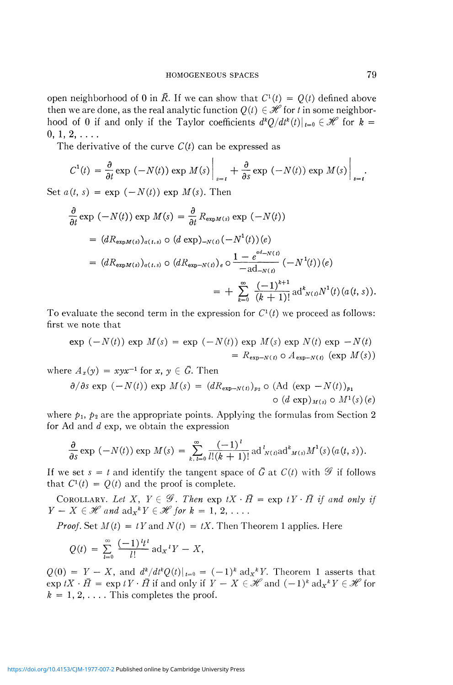open neighborhood of 0 in  $\overline{R}$ . If we can show that  $C^1(t) = Q(t)$  defined above then we are done, as the real analytic function  $Q(t) \in \mathcal{H}$  for *t* in some neighborhood of 0 if and only if the Taylor coefficients  $d^kQ/dt^k(t)|_{t=0} \in \mathcal{H}$  for  $k =$  $0, 1, 2, \ldots$ 

The derivative of the curve  $C(t)$  can be expressed as

$$
C^{1}(t) = \frac{\partial}{\partial t} \exp (-N(t)) \exp M(s) \Big|_{s=t} + \frac{\partial}{\partial s} \exp (-N(t)) \exp M(s) \Big|_{s=t}.
$$

Set  $a(t, s) = \exp(-N(t)) \exp M(s)$ . Then

$$
\frac{\partial}{\partial t} \exp (-N(t)) \exp M(s) = \frac{\partial}{\partial t} R_{\exp M(s)} \exp (-N(t))
$$
\n
$$
= (dR_{\exp M(s)})_{a(t,s)} \circ (d \exp)_{-N(t)} (-N^1(t))(e)
$$
\n
$$
= (dR_{\exp M(s)})_{a(t,s)} \circ (dR_{\exp -N(t)})_e \circ \frac{1 - e^{ad - N(t)}}{-ad_{-N(t)}} (-N^1(t))(e)
$$
\n
$$
= + \sum_{k=0}^{\infty} \frac{(-1)^{k+1}}{(k+1)!} \mathrm{ad}^k_{N(t)} N^1(t)(a(t,s)).
$$

To evaluate the second term in the expression for  $C^1(t)$  we proceed as follows: first we note that

$$
\exp(-N(t)) \exp M(s) = \exp(-N(t)) \exp M(s) \exp N(t) \exp -N(t)
$$

$$
= R_{\exp-N(t)} \circ A_{\exp-N(t)} (\exp M(s))
$$

where  $A_x(y) = xyx^{-1}$  for  $x, y \in \overline{G}$ . Then

$$
\frac{\partial}{\partial s} \exp (-N(t)) \exp M(s) = (dR_{\exp-N(t)})_{p_2} \circ (\text{Ad} (\exp - N(t))_{p_1})
$$
  
 
$$
\circ (d \exp)_{M(s)} \circ M^1(s)(e)
$$

where  $p_1$ ,  $p_2$  are the appropriate points. Applying the formulas from Section 2 for Ad and *d* exp, we obtain the expression

$$
\frac{\partial}{\partial s} \exp (-N(t)) \exp M(s) = \sum_{k, l=0}^{\infty} \frac{(-1)^l}{l!(k+1)!} \operatorname{ad}^l_{N(t) \cap \{0\}} M^1(s) (a(t, s)).
$$

If we set  $s = t$  and identify the tangent space of  $\bar{G}$  at  $C(t)$  with  $\mathscr{G}$  if follows that  $C^1(t) = Q(t)$  and the proof is complete.

COROLLARY. Let X,  $Y \in \mathscr{G}$ . Then  $\exp tX \cdot \overline{H} = \exp tY \cdot \overline{H}$  if and only if  $Y - X \in \mathcal{H}$  and  $\mathrm{ad}_X^k Y \in \mathcal{H}$  for  $k = 1, 2, \ldots$ .

*Proof.* Set  $M(t) = tY$  and  $N(t) = tX$ . Then Theorem 1 applies. Here

$$
Q(t) = \sum_{l=0}^{\infty} \frac{(-1)^{l} t^{l}}{l!} \operatorname{ad}_{X} {}^{l} Y - X,
$$

 $Q(0) = Y - X$ , and  $d^k/dt^kQ(t)|_{t=0} = (-1)^k \text{ad}_X^k Y$ . Theorem 1 asserts that  $\exp tX \cdot \bar{H} = \exp tY \cdot \bar{H}$  if and only if  $Y - X \in \mathcal{H}$  and  $(-1)^k \text{ ad}_X {}^kY \in \mathcal{H}$  for  $k = 1, 2, \ldots$ . This completes the proof.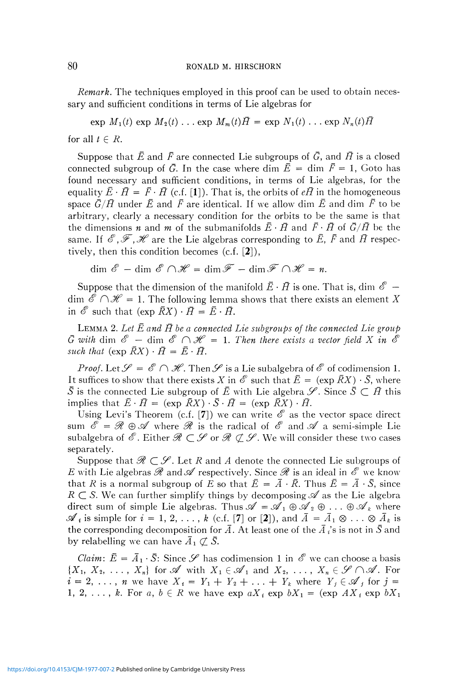*Remark.* The techniques employed in this proof can be used to obtain necessary and sufficient conditions in terms of Lie algebras for

$$
\exp M_1(t) \exp M_2(t) \ldots \exp M_m(t) \overline{H} = \exp N_1(t) \ldots \exp N_n(t) \overline{H}
$$

for all  $t \in R$ .

Suppose that  $\bar{E}$  and  $\bar{F}$  are connected Lie subgroups of  $\bar{G}$ , and  $\bar{H}$  is a closed connected subgroup of  $\bar{G}$ . In the case where dim  $\bar{E} = \dim \bar{F} = 1$ , Goto has found necessary and sufficient conditions, in terms of Lie algebras, for the equality  $\bar{E} \cdot \bar{H} = \bar{F} \cdot \bar{H}$  (c.f. [1]). That is, the orbits of  $e\bar{H}$  in the homogeneous space  $\bar{G}/\bar{H}$  under  $\bar{E}$  and  $\bar{F}$  are identical. If we allow dim  $\bar{E}$  and dim  $\bar{F}$  to be arbitrary, clearly a necessary condition for the orbits to be the same is that the dimensions *n* and *m* of the submanifolds  $\bar{E} \cdot \bar{H}$  and  $\bar{F} \cdot \bar{H}$  of  $\bar{G}/\bar{H}$  be the same. If  $\mathscr{E}, \mathscr{F}, \mathscr{H}$  are the Lie algebras corresponding to  $\bar{E}, \bar{F}$  and  $\bar{H}$  respectively, then this condition becomes  $(c.f. [2]),$ 

$$
\dim \mathscr{E} - \dim \mathscr{E} \cap \mathscr{H} = \dim \mathscr{F} - \dim \mathscr{F} \cap \mathscr{H} = n.
$$

Suppose that the dimension of the manifold  $\bar{E} \cdot \bar{H}$  is one. That is, dim  $\mathscr{E}$  –  $\dim \mathscr{E} \cap \mathscr{H} = 1$ . The following lemma shows that there exists an element X in  $\mathscr E$  such that (exp  $\bar{R}X$ )  $\cdot \bar{H} = \bar{E} \cdot \bar{H}$ .

LEMMA 2. Let  $\bar{E}$  and  $\bar{H}$  be a connected Lie subgroups of the connected Lie group  $\bar{G}$  with dim  $\mathscr{E}$  — dim  $\mathscr{E} \cap \mathscr{H} = 1$ . Then there exists a vector field X in  $\mathscr{E}$ *such that*  $(\exp \overline{R}X) \cdot \overline{H} = \overline{E} \cdot \overline{H}$ .

*Proof.* Let  $\mathscr{S} = \mathscr{E} \cap \mathscr{H}$ . Then  $\mathscr{S}$  is a Lie subalgebra of  $\mathscr{E}$  of codimension 1. It suffices to show that there exists X in  $\mathscr E$  such that  $\bar E = (\exp \bar R X) \cdot \bar S$ , where  $\bar{S}$  is the connected Lie subgroup of  $\bar{E}$  with Lie algebra  $\mathscr{S}$ . Since  $\bar{S} \subset \bar{H}$  this implies that  $\bar{E} \cdot \bar{H} = (\exp \bar{R}X) \cdot \bar{S} \cdot \bar{H} = (\exp \bar{R}X) \cdot \bar{H}$ .

Using Levi's Theorem (c.f. [7]) we can write  $\mathscr E$  as the vector space direct sum  $\mathscr{E} = \mathscr{R} \oplus \mathscr{A}$  where  $\mathscr{R}$  is the radical of  $\mathscr{E}$  and  $\mathscr{A}$  a semi-simple Lie subalgebra of  $\mathscr{E}.$  Either  $\mathscr{R}\subset\mathscr{S}$  or  $\mathscr{R}\not\subset\mathscr{S}.$  We will consider these two cases separately.

Suppose that  $\mathscr{R} \subset \mathscr{S}$ . Let R and A denote the connected Lie subgroups of *E* with Lie algebras  $\mathscr R$  and  $\mathscr A$  respectively. Since  $\mathscr R$  is an ideal in  $\mathscr E$  we know that *R* is a normal subgroup of *E* so that  $\bar{E} = \bar{A} \cdot \bar{R}$ . Thus  $\bar{E} = \bar{A} \cdot \bar{S}$ , since  $R \subset S$ . We can further simplify things by decomposing  $\mathscr A$  as the Lie algebra direct sum of simple Lie algebras. Thus  $\mathscr{A} = \mathscr{A}_1 \oplus \mathscr{A}_2 \oplus \ldots \oplus \mathscr{A}_k$  where  $\mathscr{A}_i$  is simple for  $i = 1, 2, \ldots, k$  (c.f. [7] or [2]), and  $\bar{A} = \bar{A}_1 \otimes \ldots \otimes \bar{A}_k$  is the corresponding decomposition for  $\overline{A}$ . At least one of the  $\overline{A}$  is not in  $\overline{S}$  and by relabelling we can have  $\bar{A}_1 \not\subset \bar{S}$ .

*Claim:*  $\bar{E} = \bar{A}_1 \cdot \bar{S}$ : Since  $\mathscr{S}$  has codimension 1 in  $\mathscr{E}$  we can choose a basis  $\{X_1, X_2, \ldots, X_n\}$  for  $\mathscr A$  with  $X_1 \in \mathscr A_1$  and  $X_2, \ldots, X_n \in \mathscr G \cap \mathscr A$ . For  $i = 2, \ldots, n$  we have  $X_i = Y_1 + Y_2 + \ldots + Y_k$  where  $Y_j \in \mathscr{A}_j$  for  $j =$ 1, 2, ..., k. For a,  $b \in R$  we have  $\exp aX_i$   $\exp bX_1 = (\exp AX_i \exp bX_1)$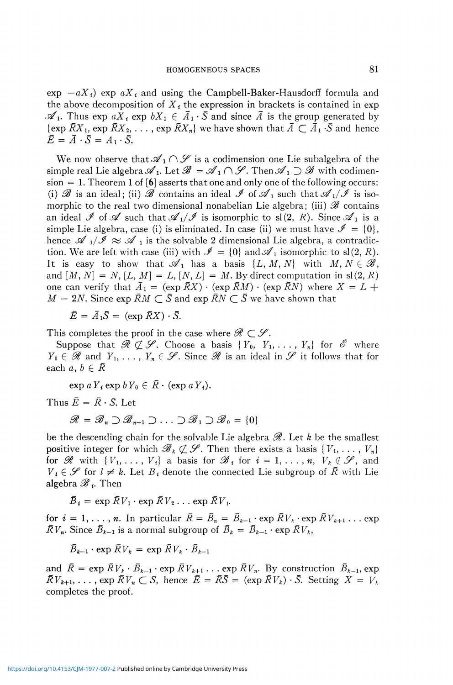$\exp$   $-aX_i$ )  $\exp$   $aX_i$  and using the Campbell-Baker-Hausdorff formula and the above decomposition of  $X_t$  the expression in brackets is contained in exp  $\mathscr{A}_1$ . Thus exp  $aX_i$  exp  $bX_1 \in \overline{A}_1 \cdot \overline{S}$  and since  $\overline{A}$  is the group generated by  $\{\exp \overline{R}X_1, \exp \overline{R}X_2, \ldots, \exp \overline{R}X_n\}$  we have shown that  $\overline{A} \subset \overline{A}_1 \cdot \overline{S}$  and hence  $\overline{E} = \overline{A} \cdot \overline{S} = A_1 \cdot \overline{S}.$ 

We now observe that  $\mathscr{A}_1 \cap \mathscr{S}$  is a codimension one Lie subalgebra of the simple real Lie algebra  $\mathscr{A}_1$ . Let  $\mathscr{B} = \mathscr{A}_1 \cap \mathscr{S}$ . Then  $\mathscr{A}_1 \supset \mathscr{B}$  with codimension = 1. Theorem 1 of  $\lceil 6 \rceil$  asserts that one and only one of the following occurs: (i)  $\mathscr B$  is an ideal; (ii)  $\mathscr B$  contains an ideal  $\mathscr I$  of  $\mathscr A_1$  such that  $\mathscr A_1/\mathscr I$  is isomorphic to the real two dimensional nonabelian Lie algebra; (iii) *Se* contains an ideal  $\mathscr I$  of  $\mathscr A$  such that  $\mathscr A_1/\mathscr I$  is isomorphic to sl(2, R). Since  $\mathscr A_1$  is a simple Lie algebra, case (i) is eliminated. In case (ii) we must have  $\mathcal{I} = \{0\}$ , hence  ${\mathscr A} \ _{1}/{\mathscr I} \approx {\mathscr A} \ _{1}$  is the solvable 2 dimensional Lie algebra, a contradiction. We are left with case (iii) with  $\mathcal{I} = \{0\}$  and  $\mathcal{A}_1$  isomorphic to sl(2, R). It is easy to show that  $\mathscr{A}_1$  has a basis  $\{L, M, N\}$  with  $M, N \in \mathscr{B}$ , and  $[M, N] = N$ ,  $[L, M] = L$ ,  $[N, L] = M$ . By direct computation in sl $(2, R)$ one can verify that  $\bar{A}_1 = (\exp \bar{R}X) \cdot (\exp \bar{R}M) \cdot (\exp \bar{R}N)$  where  $X = L +$  $M - 2N$ . Since exp  $\bar{R}M \subset \bar{S}$  and exp  $\bar{R}N \subset \bar{S}$  we have shown that

 $\overline{E} = \overline{A}_1 \overline{S} = (\exp \overline{R}X) \cdot \overline{S}$ .

This completes the proof in the case where  $\mathcal{R} \subset \mathcal{S}$ .

Suppose that  $\mathscr{R} \not\subset \mathscr{S}$ . Choose a basis  $\{ Y_0, Y_1, \ldots, Y_n \}$  for  $\mathscr{E}$  where  $Y_0 \in \mathscr{R}$  and  $Y_1, \ldots, Y_n \in \mathscr{S}$ . Since  $\mathscr{R}$  is an ideal in  $\mathscr{S}$  it follows that for each  $a, b \in \overline{R}$ 

 $\exp aY_i \exp bY_0 \in \overline{R} \cdot (\exp aY_i).$ 

Thus  $\bar{E} = \bar{R} \cdot \bar{S}$ . Let

 $\mathscr{R} = \mathscr{B}_n \supset \mathscr{B}_{n-1} \supset \ldots \supset \mathscr{B}_1 \supset \mathscr{B}_0 = \{0\}$ 

be the descending chain for the solvable Lie algebra *S?.* Let *k* be the smallest positive integer for which  $\mathscr{B}_k \not\subset \mathscr{S}$ . Then there exists a basis  $\{V_1, \ldots, V_n\}$ for  $\mathscr{R}$  with  $\{V_1, \ldots, V_i\}$  a basis for  $\mathscr{B}_i$  for  $i = 1, \ldots, n, V_k \notin \mathscr{S}$ , and  $V_i \in \mathscr{S}$  for  $l \neq k$ . Let  $B_i$  denote the connected Lie subgroup of  $\overline{R}$  with Lie algebra *Se <sup>t</sup> .* Then

 $B_i = \exp R V_1 \cdot \exp R V_2 \dots \exp R V_i$ .

for  $i = 1, \ldots, n$ . In particular  $\overline{R} = \overline{B}_n = \overline{B}_{k-1} \cdot \exp \overline{R} V_k \cdot \exp \overline{R} V_{k+1} \ldots \exp$  $\overline{R}V_n$ . Since  $\overline{B}_{k-1}$  is a normal subgroup of  $\overline{B}_k = \overline{B}_{k-1} \cdot \exp \overline{R}V_k$ ,

 $\overline{B}_{k-1} \cdot \exp \overline{R} V_k = \exp \overline{R} V_k \cdot \overline{B}_{k-1}$ 

and  $\bar{R} = \exp \bar{R}V_k \cdot \bar{B}_{k-1} \cdot \exp \bar{R}V_{k+1} \dots \exp \bar{R}V_n$ . By construction  $\bar{B}_{k-1}$ , exp  $\bar{R}V_{k+1}, \ldots$ , exp  $\bar{R}V_n \subset S$ , hence  $\bar{E} = \bar{R}\bar{S} = (\exp \bar{R}V_k) \cdot \bar{S}$ . Setting  $X = V_k$ completes the proof.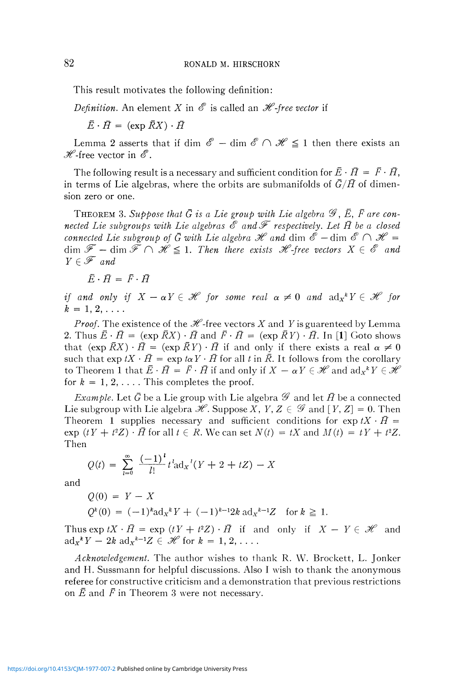This result motivates the following definition:

*Definition.* An element X in  $\mathscr E$  is called an  $\mathscr H$ -free vector if

 $\overline{E} \cdot \overline{H} = (\exp \overline{R}X) \cdot \overline{H}$ 

Lemma 2 asserts that if dim  $\mathscr{E}$  – dim  $\mathscr{E} \cap \mathscr{H} \leq 1$  then there exists an  $\mathscr{H}$ -free vector in  $\mathscr{E}$ .

The following result is a necessary and sufficient condition for  $\overline{E} \cdot \overline{H} = \overline{F} \cdot \overline{H}$ , in terms of Lie algebras, where the orbits are submanifolds of  $\bar{G}/\bar{H}$  of dimension zero or one.

THEOREM 3. Suppose that  $\bar{G}$  is a Lie group with Lie algebra  $\mathscr{G}$ ,  $\bar{E}$ ,  $\bar{F}$  are con*nected Lie subgroups with Lie algebras*  $\mathscr E$  and  $\mathscr F$  respectively. Let  $\bar{H}$  be a closed *connected Lie subgroup of*  $\bar{G}$  *with Lie algebra H and dim*  $\mathscr{E}$  *-dim*  $\mathscr{E} \cap \mathscr{H}$  *=*  $\dim \mathscr{F}$  —  $\dim \tilde{\mathscr{F}} \cap \mathscr{H} \leq 1$ . Then there exists  $\mathscr{H}$ -free vectors  $X \in \mathscr{E}$  and  $Y \in \mathscr{F}$  and

 $\bar{E} \cdot \bar{H} = \bar{F} \cdot \bar{H}$ 

*if and only if*  $X - \alpha Y \in \mathcal{H}$  for some real  $\alpha \neq 0$  and  $\text{ad}_X^* Y \in \mathcal{H}$  for  $k = 1, 2, \ldots$ 

*Proof.* The existence of the  $\mathcal{H}$ -free vectors X and Y is guarenteed by Lemma 2. Thus  $\bar{E} \cdot \bar{H} = (\exp \bar{R}X) \cdot \bar{H}$  and  $\bar{F} \cdot \bar{H} = (\exp \bar{R}Y) \cdot \bar{H}$ . In [1] Goto shows that  $(\exp \bar{R}X) \cdot \bar{H} = (\exp \bar{R}Y) \cdot \bar{H}$  if and only if there exists a real  $\alpha \neq 0$ such that  $\exp tX \cdot \overline{H} = \exp t\alpha Y \cdot \overline{H}$  for all t in  $\overline{R}$ . It follows from the corollary to Theorem 1 that  $\bar{E} \cdot \bar{H} = \bar{F} \cdot \bar{H}$  if and only if  $X - \alpha Y \in \mathcal{H}$  and  $\mathrm{ad}_{X}{}^{k}Y \in \mathcal{H}$ for  $k = 1, 2, \ldots$ . This completes the proof.

*Example.* Let  $\bar{G}$  be a Lie group with Lie algebra  $\mathscr G$  and let  $\bar{H}$  be a connected Lie subgroup with Lie algebra  $\mathcal{H}$ . Suppose X, Y, Z  $\in \mathcal{G}$  and  $[Y, Z] = 0$ . Then Theorem 1 supplies necessary and sufficient conditions for  $\exp tX \cdot \bar{H} =$  $\exp(tY + t^2Z) \cdot \bar{H}$  for all  $t \in R$ . We can set  $N(t) = tX$  and  $M(t) = tY + t^2Z$ . Then

$$
Q(t) = \sum_{l=0}^{\infty} \frac{(-1)^l}{l!} t^l \mathrm{ad}_X' (Y + 2 + tZ) - X
$$

and

$$
Q(0) = Y - X
$$
  
\n
$$
Q^{k}(0) = (-1)^{k} ad_{X}^{k} Y + (-1)^{k-1} 2k ad_{X}^{k-1} Z \text{ for } k \ge 1.
$$

Thus exp  $tX \cdot \overline{H} = \exp(tY + t^2Z) \cdot \overline{H}$  if and only if  $X - Y \in \mathcal{H}$  and  $\mathrm{ad}_x^{\ k} Y - 2k \mathrm{ad}_x^{\ k-1} Z \in \mathscr{H}$  for  $k = 1, 2, \ldots$ .

*Acknowledgement.* The author wishes to thank R. W. Brockett, L. Jonker and H. Sussmann for helpful discussions. Also I wish to thank the anonymous referee for constructive criticism and a demonstration that previous restrictions on  $\bar{E}$  and  $\bar{F}$  in Theorem 3 were not necessary.